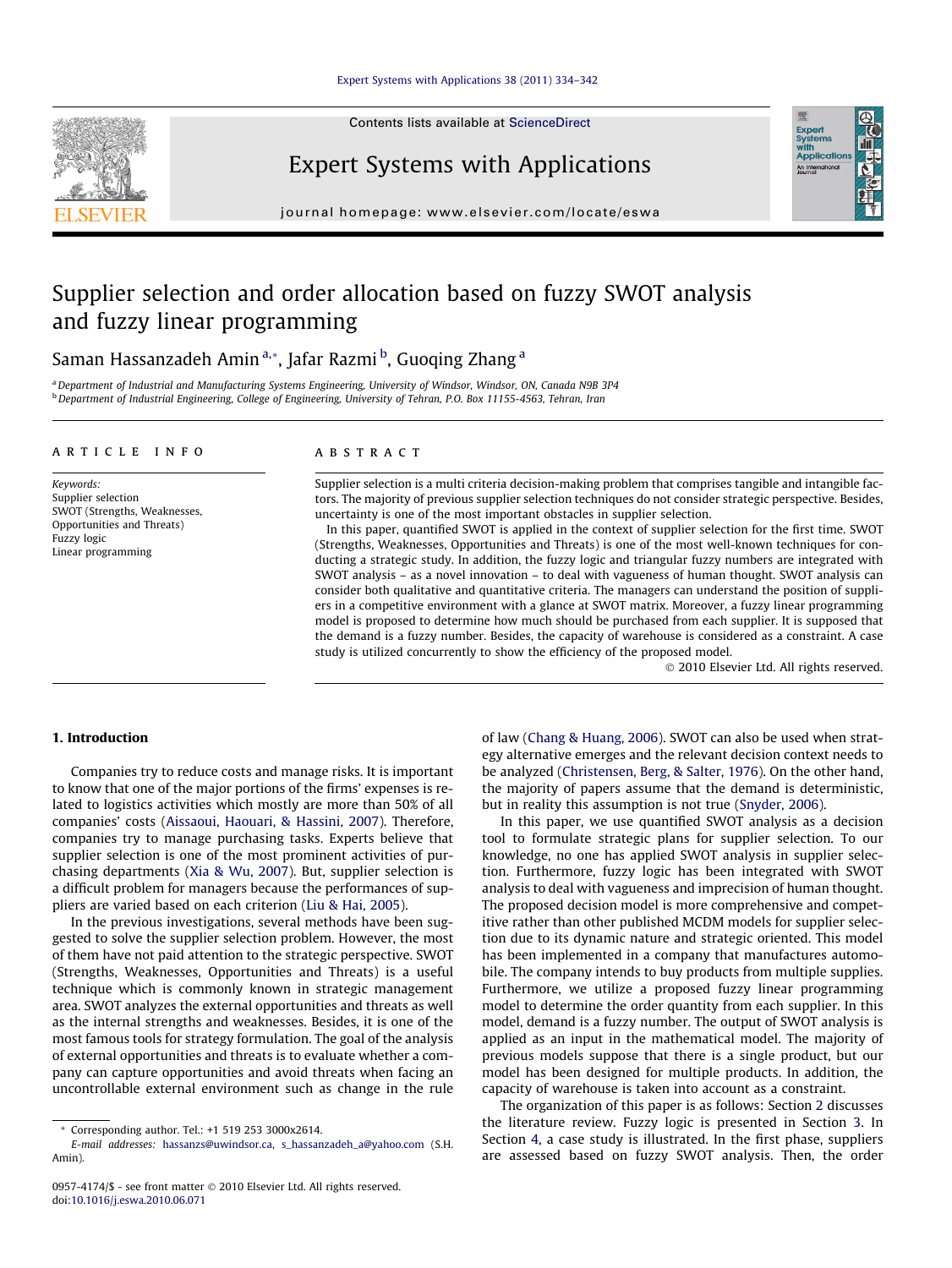## [Expert Systems with Applications 38 \(2011\) 334–342](http://dx.doi.org/10.1016/j.eswa.2010.06.071)

Contents lists available at [ScienceDirect](http://www.sciencedirect.com/science/journal/09574174)



Expert Systems with Applications

journal homepage: [www.elsevier.com/locate/eswa](http://www.elsevier.com/locate/eswa)

# Supplier selection and order allocation based on fuzzy SWOT analysis and fuzzy linear programming

Saman Hassanzadeh Amin<sup>a,</sup>\*, Jafar Razmi <sup>b</sup>, Guoqing Zhang <sup>a</sup>

a Department of Industrial and Manufacturing Systems Engineering, University of Windsor, Windsor, ON, Canada N9B 3P4 <sup>b</sup> Department of Industrial Engineering, College of Engineering, University of Tehran, P.O. Box 11155-4563, Tehran, Iran

#### article info

Keywords: Supplier selection SWOT (Strengths, Weaknesses, Opportunities and Threats) Fuzzy logic Linear programming

#### ABSTRACT

Supplier selection is a multi criteria decision-making problem that comprises tangible and intangible factors. The majority of previous supplier selection techniques do not consider strategic perspective. Besides, uncertainty is one of the most important obstacles in supplier selection.

In this paper, quantified SWOT is applied in the context of supplier selection for the first time. SWOT (Strengths, Weaknesses, Opportunities and Threats) is one of the most well-known techniques for conducting a strategic study. In addition, the fuzzy logic and triangular fuzzy numbers are integrated with SWOT analysis – as a novel innovation – to deal with vagueness of human thought. SWOT analysis can consider both qualitative and quantitative criteria. The managers can understand the position of suppliers in a competitive environment with a glance at SWOT matrix. Moreover, a fuzzy linear programming model is proposed to determine how much should be purchased from each supplier. It is supposed that the demand is a fuzzy number. Besides, the capacity of warehouse is considered as a constraint. A case study is utilized concurrently to show the efficiency of the proposed model.

- 2010 Elsevier Ltd. All rights reserved.

Expert<br>Syster

### 1. Introduction

Companies try to reduce costs and manage risks. It is important to know that one of the major portions of the firms' expenses is related to logistics activities which mostly are more than 50% of all companies' costs [\(Aissaoui, Haouari, & Hassini, 2007](#page--1-0)). Therefore, companies try to manage purchasing tasks. Experts believe that supplier selection is one of the most prominent activities of purchasing departments ([Xia & Wu, 2007\)](#page--1-0). But, supplier selection is a difficult problem for managers because the performances of suppliers are varied based on each criterion ([Liu & Hai, 2005\)](#page--1-0).

In the previous investigations, several methods have been suggested to solve the supplier selection problem. However, the most of them have not paid attention to the strategic perspective. SWOT (Strengths, Weaknesses, Opportunities and Threats) is a useful technique which is commonly known in strategic management area. SWOT analyzes the external opportunities and threats as well as the internal strengths and weaknesses. Besides, it is one of the most famous tools for strategy formulation. The goal of the analysis of external opportunities and threats is to evaluate whether a company can capture opportunities and avoid threats when facing an uncontrollable external environment such as change in the rule of law [\(Chang & Huang, 2006\)](#page--1-0). SWOT can also be used when strategy alternative emerges and the relevant decision context needs to be analyzed [\(Christensen, Berg, & Salter, 1976\)](#page--1-0). On the other hand, the majority of papers assume that the demand is deterministic, but in reality this assumption is not true ([Snyder, 2006](#page--1-0)).

In this paper, we use quantified SWOT analysis as a decision tool to formulate strategic plans for supplier selection. To our knowledge, no one has applied SWOT analysis in supplier selection. Furthermore, fuzzy logic has been integrated with SWOT analysis to deal with vagueness and imprecision of human thought. The proposed decision model is more comprehensive and competitive rather than other published MCDM models for supplier selection due to its dynamic nature and strategic oriented. This model has been implemented in a company that manufactures automobile. The company intends to buy products from multiple supplies. Furthermore, we utilize a proposed fuzzy linear programming model to determine the order quantity from each supplier. In this model, demand is a fuzzy number. The output of SWOT analysis is applied as an input in the mathematical model. The majority of previous models suppose that there is a single product, but our model has been designed for multiple products. In addition, the capacity of warehouse is taken into account as a constraint.

The organization of this paper is as follows: Section [2](#page-1-0) discusses the literature review. Fuzzy logic is presented in Section [3.](#page--1-0) In Section [4](#page--1-0), a case study is illustrated. In the first phase, suppliers are assessed based on fuzzy SWOT analysis. Then, the order

<sup>\*</sup> Corresponding author. Tel.: +1 519 253 3000x2614.

E-mail addresses: [hassanzs@uwindsor.ca](mailto:hassanzs@uwindsor.ca), [s\\_hassanzadeh\\_a@yahoo.com](mailto:s_hassanzadeh_a@yahoo.com) (S.H. Amin).

<sup>0957-4174/\$ -</sup> see front matter © 2010 Elsevier Ltd. All rights reserved. doi:[10.1016/j.eswa.2010.06.071](http://dx.doi.org/10.1016/j.eswa.2010.06.071)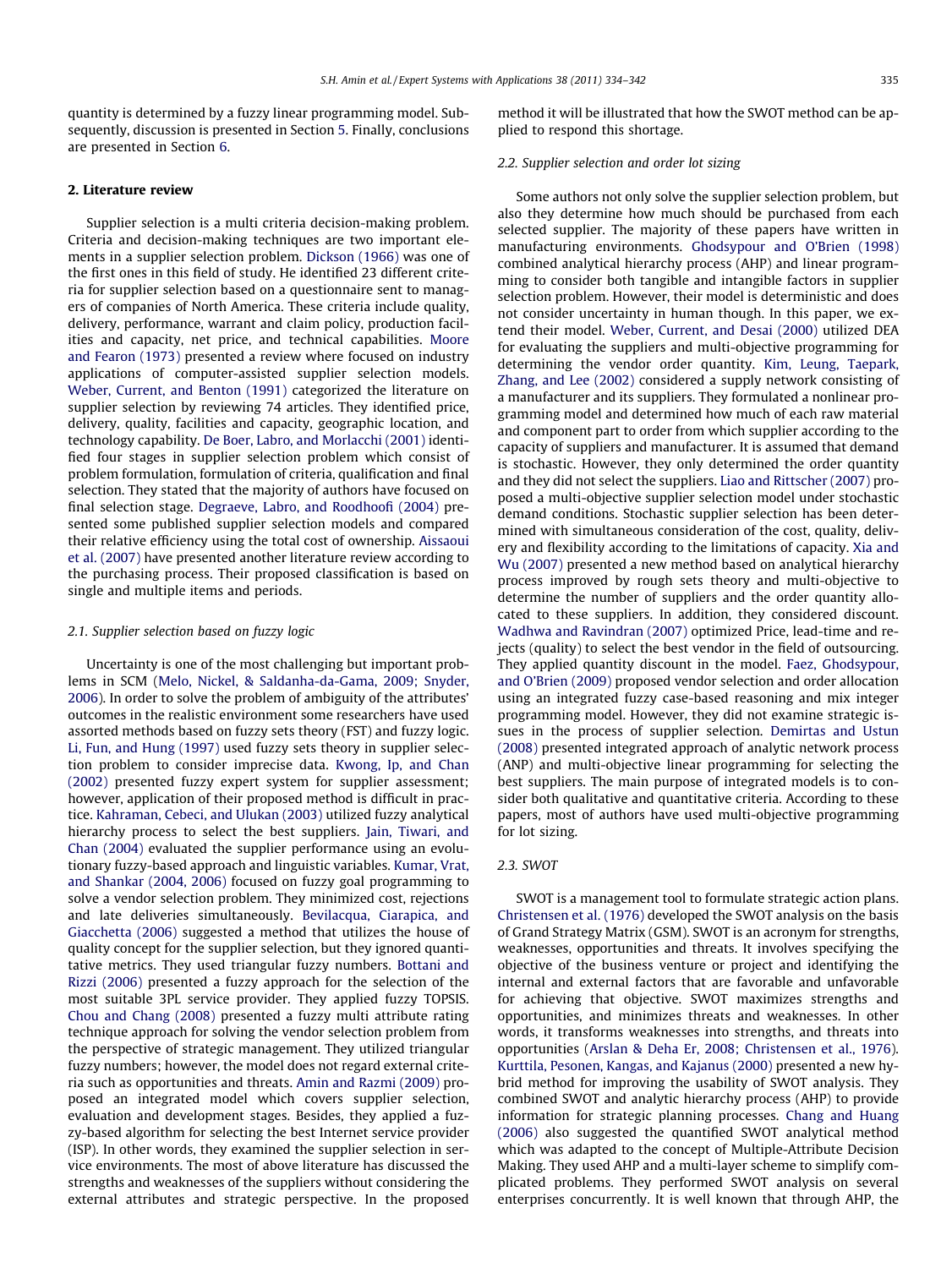<span id="page-1-0"></span>quantity is determined by a fuzzy linear programming model. Subsequently, discussion is presented in Section [5](#page--1-0). Finally, conclusions are presented in Section [6](#page--1-0).

#### 2. Literature review

Supplier selection is a multi criteria decision-making problem. Criteria and decision-making techniques are two important elements in a supplier selection problem. [Dickson \(1966\)](#page--1-0) was one of the first ones in this field of study. He identified 23 different criteria for supplier selection based on a questionnaire sent to managers of companies of North America. These criteria include quality, delivery, performance, warrant and claim policy, production facilities and capacity, net price, and technical capabilities. [Moore](#page--1-0) [and Fearon \(1973\)](#page--1-0) presented a review where focused on industry applications of computer-assisted supplier selection models. [Weber, Current, and Benton \(1991\)](#page--1-0) categorized the literature on supplier selection by reviewing 74 articles. They identified price, delivery, quality, facilities and capacity, geographic location, and technology capability. [De Boer, Labro, and Morlacchi \(2001\)](#page--1-0) identified four stages in supplier selection problem which consist of problem formulation, formulation of criteria, qualification and final selection. They stated that the majority of authors have focused on final selection stage. [Degraeve, Labro, and Roodhoofi \(2004\)](#page--1-0) presented some published supplier selection models and compared their relative efficiency using the total cost of ownership. [Aissaoui](#page--1-0) [et al. \(2007\)](#page--1-0) have presented another literature review according to the purchasing process. Their proposed classification is based on single and multiple items and periods.

#### 2.1. Supplier selection based on fuzzy logic

Uncertainty is one of the most challenging but important problems in SCM [\(Melo, Nickel, & Saldanha-da-Gama, 2009; Snyder,](#page--1-0) [2006](#page--1-0)). In order to solve the problem of ambiguity of the attributes' outcomes in the realistic environment some researchers have used assorted methods based on fuzzy sets theory (FST) and fuzzy logic. [Li, Fun, and Hung \(1997\)](#page--1-0) used fuzzy sets theory in supplier selection problem to consider imprecise data. [Kwong, Ip, and Chan](#page--1-0) [\(2002\)](#page--1-0) presented fuzzy expert system for supplier assessment; however, application of their proposed method is difficult in practice. [Kahraman, Cebeci, and Ulukan \(2003\)](#page--1-0) utilized fuzzy analytical hierarchy process to select the best suppliers. [Jain, Tiwari, and](#page--1-0) [Chan \(2004\)](#page--1-0) evaluated the supplier performance using an evolutionary fuzzy-based approach and linguistic variables. [Kumar, Vrat,](#page--1-0) [and Shankar \(2004, 2006\)](#page--1-0) focused on fuzzy goal programming to solve a vendor selection problem. They minimized cost, rejections and late deliveries simultaneously. [Bevilacqua, Ciarapica, and](#page--1-0) [Giacchetta \(2006\)](#page--1-0) suggested a method that utilizes the house of quality concept for the supplier selection, but they ignored quantitative metrics. They used triangular fuzzy numbers. [Bottani and](#page--1-0) [Rizzi \(2006\)](#page--1-0) presented a fuzzy approach for the selection of the most suitable 3PL service provider. They applied fuzzy TOPSIS. [Chou and Chang \(2008\)](#page--1-0) presented a fuzzy multi attribute rating technique approach for solving the vendor selection problem from the perspective of strategic management. They utilized triangular fuzzy numbers; however, the model does not regard external criteria such as opportunities and threats. [Amin and Razmi \(2009\)](#page--1-0) proposed an integrated model which covers supplier selection, evaluation and development stages. Besides, they applied a fuzzy-based algorithm for selecting the best Internet service provider (ISP). In other words, they examined the supplier selection in service environments. The most of above literature has discussed the strengths and weaknesses of the suppliers without considering the external attributes and strategic perspective. In the proposed method it will be illustrated that how the SWOT method can be applied to respond this shortage.

#### 2.2. Supplier selection and order lot sizing

Some authors not only solve the supplier selection problem, but also they determine how much should be purchased from each selected supplier. The majority of these papers have written in manufacturing environments. [Ghodsypour and O'Brien \(1998\)](#page--1-0) combined analytical hierarchy process (AHP) and linear programming to consider both tangible and intangible factors in supplier selection problem. However, their model is deterministic and does not consider uncertainty in human though. In this paper, we extend their model. [Weber, Current, and Desai \(2000\)](#page--1-0) utilized DEA for evaluating the suppliers and multi-objective programming for determining the vendor order quantity. [Kim, Leung, Taepark,](#page--1-0) [Zhang, and Lee \(2002\)](#page--1-0) considered a supply network consisting of a manufacturer and its suppliers. They formulated a nonlinear programming model and determined how much of each raw material and component part to order from which supplier according to the capacity of suppliers and manufacturer. It is assumed that demand is stochastic. However, they only determined the order quantity and they did not select the suppliers. [Liao and Rittscher \(2007\)](#page--1-0) proposed a multi-objective supplier selection model under stochastic demand conditions. Stochastic supplier selection has been determined with simultaneous consideration of the cost, quality, delivery and flexibility according to the limitations of capacity. [Xia and](#page--1-0) [Wu \(2007\)](#page--1-0) presented a new method based on analytical hierarchy process improved by rough sets theory and multi-objective to determine the number of suppliers and the order quantity allocated to these suppliers. In addition, they considered discount. [Wadhwa and Ravindran \(2007\)](#page--1-0) optimized Price, lead-time and rejects (quality) to select the best vendor in the field of outsourcing. They applied quantity discount in the model. [Faez, Ghodsypour,](#page--1-0) [and O'Brien \(2009\)](#page--1-0) proposed vendor selection and order allocation using an integrated fuzzy case-based reasoning and mix integer programming model. However, they did not examine strategic issues in the process of supplier selection. [Demirtas and Ustun](#page--1-0) [\(2008\)](#page--1-0) presented integrated approach of analytic network process (ANP) and multi-objective linear programming for selecting the best suppliers. The main purpose of integrated models is to consider both qualitative and quantitative criteria. According to these papers, most of authors have used multi-objective programming for lot sizing.

#### 2.3. SWOT

SWOT is a management tool to formulate strategic action plans. [Christensen et al. \(1976\)](#page--1-0) developed the SWOT analysis on the basis of Grand Strategy Matrix (GSM). SWOT is an acronym for strengths, weaknesses, opportunities and threats. It involves specifying the objective of the business venture or project and identifying the internal and external factors that are favorable and unfavorable for achieving that objective. SWOT maximizes strengths and opportunities, and minimizes threats and weaknesses. In other words, it transforms weaknesses into strengths, and threats into opportunities ([Arslan & Deha Er, 2008; Christensen et al., 1976\)](#page--1-0). [Kurttila, Pesonen, Kangas, and Kajanus \(2000\)](#page--1-0) presented a new hybrid method for improving the usability of SWOT analysis. They combined SWOT and analytic hierarchy process (AHP) to provide information for strategic planning processes. [Chang and Huang](#page--1-0) [\(2006\)](#page--1-0) also suggested the quantified SWOT analytical method which was adapted to the concept of Multiple-Attribute Decision Making. They used AHP and a multi-layer scheme to simplify complicated problems. They performed SWOT analysis on several enterprises concurrently. It is well known that through AHP, the